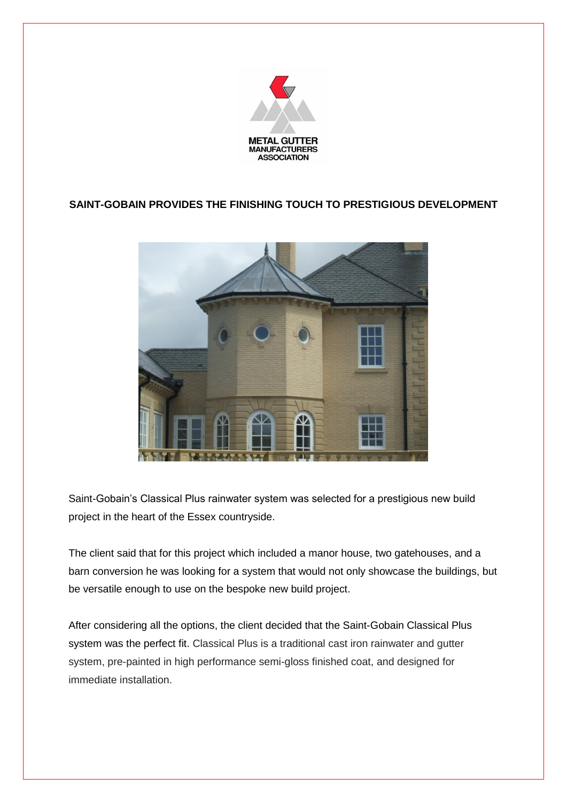

## **SAINT-GOBAIN PROVIDES THE FINISHING TOUCH TO PRESTIGIOUS DEVELOPMENT**



Saint-Gobain's Classical Plus rainwater system was selected for a prestigious new build project in the heart of the Essex countryside.

The client said that for this project which included a manor house, two gatehouses, and a barn conversion he was looking for a system that would not only showcase the buildings, but be versatile enough to use on the bespoke new build project.

After considering all the options, the client decided that the Saint-Gobain Classical Plus system was the perfect fit. Classical Plus is a traditional cast iron rainwater and gutter system, pre-painted in high performance semi-gloss finished coat, and designed for immediate installation.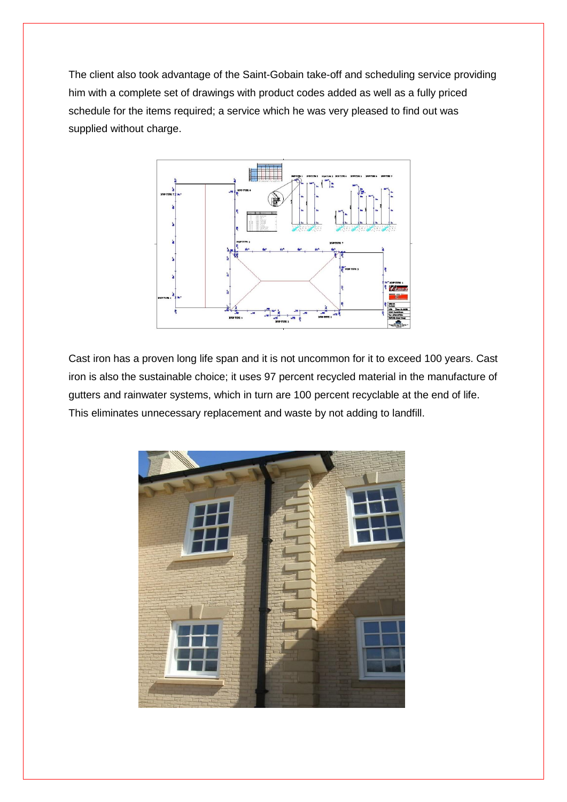The client also took advantage of the Saint-Gobain take-off and scheduling service providing him with a complete set of drawings with product codes added as well as a fully priced schedule for the items required; a service which he was very pleased to find out was supplied without charge.



Cast iron has a proven long life span and it is not uncommon for it to exceed 100 years. Cast iron is also the sustainable choice; it uses 97 percent recycled material in the manufacture of gutters and rainwater systems, which in turn are 100 percent recyclable at the end of life. This eliminates unnecessary replacement and waste by not adding to landfill.